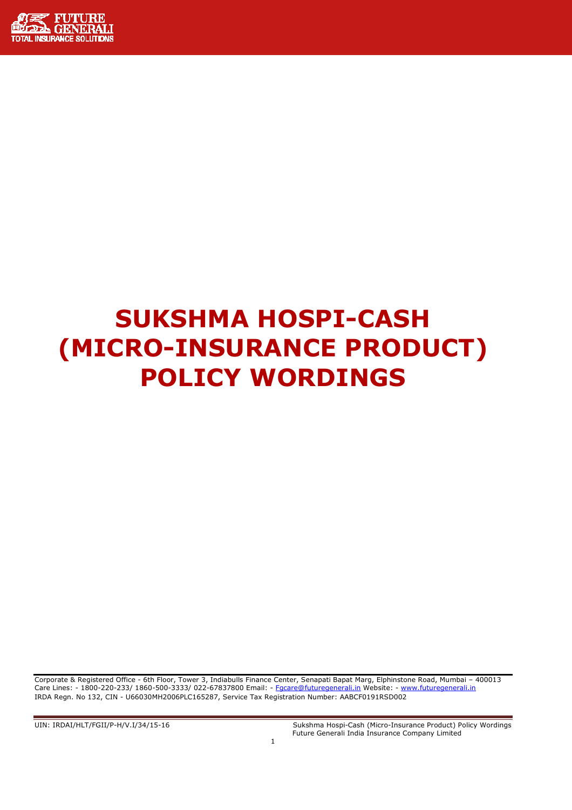

# SUKSHMA HOSPI-CASH (MICRO-INSURANCE PRODUCT) POLICY WORDINGS

Corporate & Registered Office - 6th Floor, Tower 3, Indiabulls Finance Center, Senapati Bapat Marg, Elphinstone Road, Mumbai – 400013 Care Lines: - 1800-220-233/ 1860-500-3333/ 022-67837800 Email: - Fgcare@futuregenerali.in Website: - www.futuregenerali.in IRDA Regn. No 132, CIN - U66030MH2006PLC165287, Service Tax Registration Number: AABCF0191RSD002

UIN: IRDAI/HLT/FGII/P-H/V.I/34/15-16 Sukshma Hospi-Cash (Micro-Insurance Product) Policy Wordings Future Generali India Insurance Company Limited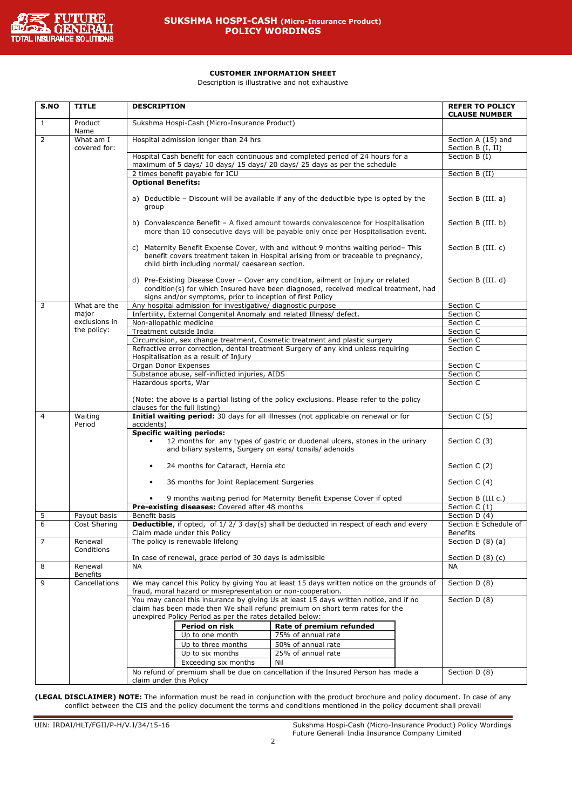

# CUSTOMER INFORMATION SHEET

Description is illustrative and not exhaustive

| S.NO           | <b>TITLE</b>              | <b>DESCRIPTION</b>                                                                                                                       |                                                                                                                                                                                                                          | <b>REFER TO POLICY</b><br><b>CLAUSE NUMBER</b> |  |  |
|----------------|---------------------------|------------------------------------------------------------------------------------------------------------------------------------------|--------------------------------------------------------------------------------------------------------------------------------------------------------------------------------------------------------------------------|------------------------------------------------|--|--|
| 1              | Product<br>Name           | Sukshma Hospi-Cash (Micro-Insurance Product)                                                                                             |                                                                                                                                                                                                                          |                                                |  |  |
| 2              | What am I<br>covered for: | Hospital admission longer than 24 hrs                                                                                                    |                                                                                                                                                                                                                          | Section A (15) and<br>Section B (I, II)        |  |  |
|                |                           | maximum of 5 days/ 10 days/ 15 days/ 20 days/ 25 days as per the schedule                                                                | Hospital Cash benefit for each continuous and completed period of 24 hours for a                                                                                                                                         | Section B (I)                                  |  |  |
|                |                           | 2 times benefit payable for ICU                                                                                                          |                                                                                                                                                                                                                          | Section B (II)                                 |  |  |
|                |                           | <b>Optional Benefits:</b>                                                                                                                |                                                                                                                                                                                                                          |                                                |  |  |
|                |                           | group                                                                                                                                    | a) Deductible - Discount will be available if any of the deductible type is opted by the                                                                                                                                 | Section B (III. a)                             |  |  |
|                |                           |                                                                                                                                          | b) Convalescence Benefit - A fixed amount towards convalescence for Hospitalisation<br>more than 10 consecutive days will be payable only once per Hospitalisation event.                                                | Section B (III. b)                             |  |  |
|                |                           | C)                                                                                                                                       | Maternity Benefit Expense Cover, with and without 9 months waiting period-This<br>benefit covers treatment taken in Hospital arising from or traceable to pregnancy,<br>child birth including normal/ caesarean section. |                                                |  |  |
|                |                           | signs and/or symptoms, prior to inception of first Policy                                                                                | d) Pre-Existing Disease Cover - Cover any condition, ailment or Injury or related<br>condition(s) for which Insured have been diagnosed, received medical treatment, had                                                 | Section B (III. d)                             |  |  |
| 3              | What are the              | Any hospital admission for investigative/ diagnostic purpose                                                                             |                                                                                                                                                                                                                          | Section C                                      |  |  |
|                | major                     | Infertility, External Congenital Anomaly and related Illness/ defect.                                                                    |                                                                                                                                                                                                                          | Section C                                      |  |  |
|                | exclusions in             | Non-allopathic medicine                                                                                                                  |                                                                                                                                                                                                                          | Section C                                      |  |  |
|                | the policy:               | Treatment outside India                                                                                                                  |                                                                                                                                                                                                                          | Section C                                      |  |  |
|                |                           | Circumcision, sex change treatment, Cosmetic treatment and plastic surgery                                                               |                                                                                                                                                                                                                          | Section C                                      |  |  |
|                |                           | Hospitalisation as a result of Injury                                                                                                    | Refractive error correction, dental treatment Surgery of any kind unless requiring                                                                                                                                       | Section C                                      |  |  |
|                |                           | Organ Donor Expenses                                                                                                                     |                                                                                                                                                                                                                          | Section C                                      |  |  |
|                |                           | Substance abuse, self-inflicted injuries, AIDS                                                                                           |                                                                                                                                                                                                                          | Section C                                      |  |  |
|                |                           | Hazardous sports, War                                                                                                                    |                                                                                                                                                                                                                          | Section C                                      |  |  |
|                |                           | clauses for the full listing)                                                                                                            | (Note: the above is a partial listing of the policy exclusions. Please refer to the policy                                                                                                                               |                                                |  |  |
| $\overline{4}$ | Waiting<br>Period         | accidents)                                                                                                                               | Initial waiting period: 30 days for all illnesses (not applicable on renewal or for                                                                                                                                      | Section C (5)                                  |  |  |
|                |                           | <b>Specific waiting periods:</b>                                                                                                         |                                                                                                                                                                                                                          |                                                |  |  |
|                |                           | and biliary systems, Surgery on ears/ tonsils/ adenoids                                                                                  | 12 months for any types of gastric or duodenal ulcers, stones in the urinary                                                                                                                                             | Section C (3)                                  |  |  |
|                |                           | 24 months for Cataract, Hernia etc<br>$\bullet$                                                                                          |                                                                                                                                                                                                                          | Section C (2)                                  |  |  |
|                |                           | 36 months for Joint Replacement Surgeries<br>$\bullet$                                                                                   |                                                                                                                                                                                                                          | Section C (4)                                  |  |  |
|                |                           |                                                                                                                                          | 9 months waiting period for Maternity Benefit Expense Cover if opted                                                                                                                                                     | Section B (III c.)                             |  |  |
|                |                           | Pre-existing diseases: Covered after 48 months                                                                                           |                                                                                                                                                                                                                          | Section $C(1)$                                 |  |  |
| 5              | Payout basis              | Benefit basis                                                                                                                            |                                                                                                                                                                                                                          | Section D (4)                                  |  |  |
| 6              | Cost Sharing              | Claim made under this Policy                                                                                                             | <b>Deductible</b> , if opted, of 1/2/3 day(s) shall be deducted in respect of each and every                                                                                                                             | Section E Schedule of<br>Benefits              |  |  |
| 7              | Renewal<br>Conditions     | The policy is renewable lifelong                                                                                                         |                                                                                                                                                                                                                          | Section $D(8)(a)$                              |  |  |
|                |                           | In case of renewal, grace period of 30 days is admissible                                                                                |                                                                                                                                                                                                                          | Section $D(8)(c)$                              |  |  |
| 8              | Renewal                   | <b>NA</b>                                                                                                                                |                                                                                                                                                                                                                          | <b>NA</b>                                      |  |  |
|                | <b>Benefits</b>           |                                                                                                                                          |                                                                                                                                                                                                                          |                                                |  |  |
| 9              | Cancellations             | fraud, moral hazard or misrepresentation or non-cooperation.                                                                             | We may cancel this Policy by giving You at least 15 days written notice on the grounds of                                                                                                                                | Section D (8)                                  |  |  |
|                |                           |                                                                                                                                          | You may cancel this insurance by giving Us at least 15 days written notice, and if no                                                                                                                                    | Section D (8)                                  |  |  |
|                |                           | claim has been made then We shall refund premium on short term rates for the<br>unexpired Policy Period as per the rates detailed below: |                                                                                                                                                                                                                          |                                                |  |  |
|                |                           | Period on risk                                                                                                                           | Rate of premium refunded                                                                                                                                                                                                 |                                                |  |  |
|                |                           | Up to one month                                                                                                                          | 75% of annual rate                                                                                                                                                                                                       |                                                |  |  |
|                |                           | Up to three months                                                                                                                       | 50% of annual rate                                                                                                                                                                                                       |                                                |  |  |
|                |                           | Up to six months                                                                                                                         | 25% of annual rate                                                                                                                                                                                                       |                                                |  |  |
|                |                           | Exceeding six months                                                                                                                     | Nil                                                                                                                                                                                                                      |                                                |  |  |
|                |                           |                                                                                                                                          | No refund of premium shall be due on cancellation if the Insured Person has made a                                                                                                                                       | Section D (8)                                  |  |  |
|                |                           | claim under this Policy                                                                                                                  |                                                                                                                                                                                                                          |                                                |  |  |

(LEGAL DISCLAIMER) NOTE: The information must be read in conjunction with the product brochure and policy document. In case of any conflict between the CIS and the policy document the terms and conditions mentioned in the policy document shall prevail

UIN: IRDAI/HLT/FGII/P-H/V.I/34/15-16 Sukshma Hospi-Cash (Micro-Insurance Product) Policy Wordings Future Generali India Insurance Company Limited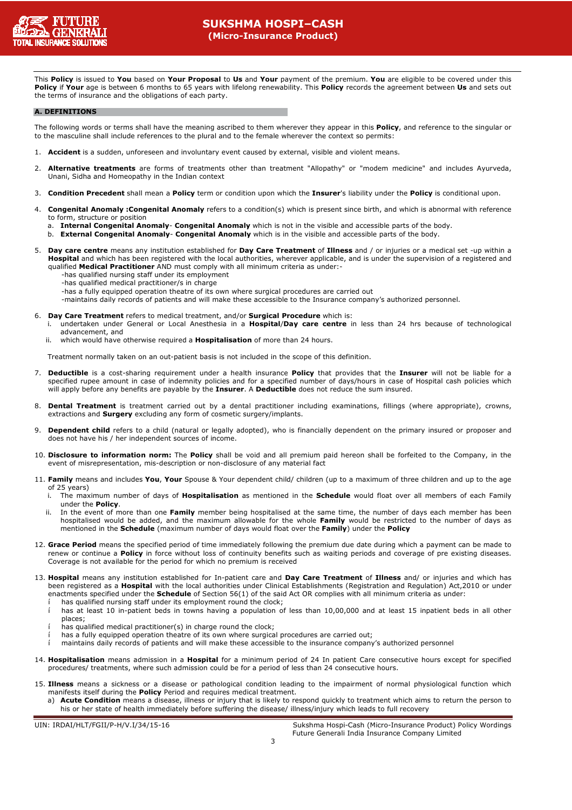

This Policy is issued to You based on Your Proposal to Us and Your payment of the premium. You are eligible to be covered under this Policy if Your age is between 6 months to 65 years with lifelong renewability. This Policy records the agreement between Us and sets out the terms of insurance and the obligations of each party.

#### A. DEFINITIONS

The following words or terms shall have the meaning ascribed to them wherever they appear in this **Policy**, and reference to the singular or to the masculine shall include references to the plural and to the female wherever the context so permits:

- 1. Accident is a sudden, unforeseen and involuntary event caused by external, visible and violent means.
- 2. Alternative treatments are forms of treatments other than treatment "Allopathy" or "modem medicine" and includes Ayurveda, Unani, Sidha and Homeopathy in the Indian context
- 3. Condition Precedent shall mean a Policy term or condition upon which the Insurer's liability under the Policy is conditional upon.
- Congenital Anomaly :Congenital Anomaly refers to a condition(s) which is present since birth, and which is abnormal with reference to form, structure or position
	- a. Internal Congenital Anomaly- Congenital Anomaly which is not in the visible and accessible parts of the body.

b. External Congenital Anomaly- Congenital Anomaly which is in the visible and accessible parts of the body.

- 5. Day care centre means any institution established for Day Care Treatment of Illness and / or injuries or a medical set -up within a Hospital and which has been registered with the local authorities, wherever applicable, and is under the supervision of a registered and qualified Medical Practitioner AND must comply with all minimum criteria as under:-
	- -has qualified nursing staff under its employment
	- -has qualified medical practitioner/s in charge
	- -has a fully equipped operation theatre of its own where surgical procedures are carried out
	- -maintains daily records of patients and will make these accessible to the Insurance company's authorized personnel.
- 6. Day Care Treatment refers to medical treatment, and/or Surgical Procedure which is:
	- i. undertaken under General or Local Anesthesia in a Hospital/Day care centre in less than 24 hrs because of technological advancement, and
	- ii. which would have otherwise required a **Hospitalisation** of more than 24 hours.

Treatment normally taken on an out-patient basis is not included in the scope of this definition.

- 7. Deductible is a cost-sharing requirement under a health insurance Policy that provides that the Insurer will not be liable for a specified rupee amount in case of indemnity policies and for a specified number of days/hours in case of Hospital cash policies which will apply before any benefits are payable by the Insurer. A Deductible does not reduce the sum insured.
- 8. Dental Treatment is treatment carried out by a dental practitioner including examinations, fillings (where appropriate), crowns, extractions and **Surgery** excluding any form of cosmetic surgery/implants.
- 9. Dependent child refers to a child (natural or legally adopted), who is financially dependent on the primary insured or proposer and does not have his / her independent sources of income.
- 10. Disclosure to information norm: The Policy shall be void and all premium paid hereon shall be forfeited to the Company, in the event of misrepresentation, mis-description or non-disclosure of any material fact
- 11. Family means and includes You, Your Spouse & Your dependent child/ children (up to a maximum of three children and up to the age of 25 years)
	- i. The maximum number of days of Hospitalisation as mentioned in the Schedule would float over all members of each Family under the Policy.
	- In the event of more than one Family member being hospitalised at the same time, the number of days each member has been hospitalised would be added, and the maximum allowable for the whole Family would be restricted to the number of days as mentioned in the Schedule (maximum number of days would float over the Family) under the Policy
- 12. Grace Period means the specified period of time immediately following the premium due date during which a payment can be made to renew or continue a Policy in force without loss of continuity benefits such as waiting periods and coverage of pre existing diseases. Coverage is not available for the period for which no premium is received
- 13. Hospital means any institution established for In-patient care and Day Care Treatment of Illness and/ or injuries and which has been registered as a **Hospital** with the local authorities under Clinical Establishments (Registration and Regulation) Act,2010 or under enactments specified under the **Schedule** of Section 56(1) of the said Act OR complies with all minimum criteria as under:
	- has qualified nursing staff under its employment round the clock;
	- í has at least 10 in-patient beds in towns having a population of less than 10,00,000 and at least 15 inpatient beds in all other places;
	- í has qualified medical practitioner(s) in charge round the clock;
	- has a fully equipped operation theatre of its own where surgical procedures are carried out;
	- í maintains daily records of patients and will make these accessible to the insurance company's authorized personnel
- 14. Hospitalisation means admission in a Hospital for a minimum period of 24 In patient Care consecutive hours except for specified procedures/ treatments, where such admission could be for a period of less than 24 consecutive hours.
- 15. Illness means a sickness or a disease or pathological condition leading to the impairment of normal physiological function which manifests itself during the **Policy** Period and requires medical treatment.
	- a) Acute Condition means a disease, illness or injury that is likely to respond quickly to treatment which aims to return the person to his or her state of health immediately before suffering the disease/ illness/injury which leads to full recovery

UIN: IRDAI/HLT/FGII/P-H/V.I/34/15-16 Sukshma Hospi-Cash (Micro-Insurance Product) Policy Wordings Future Generali India Insurance Company Limited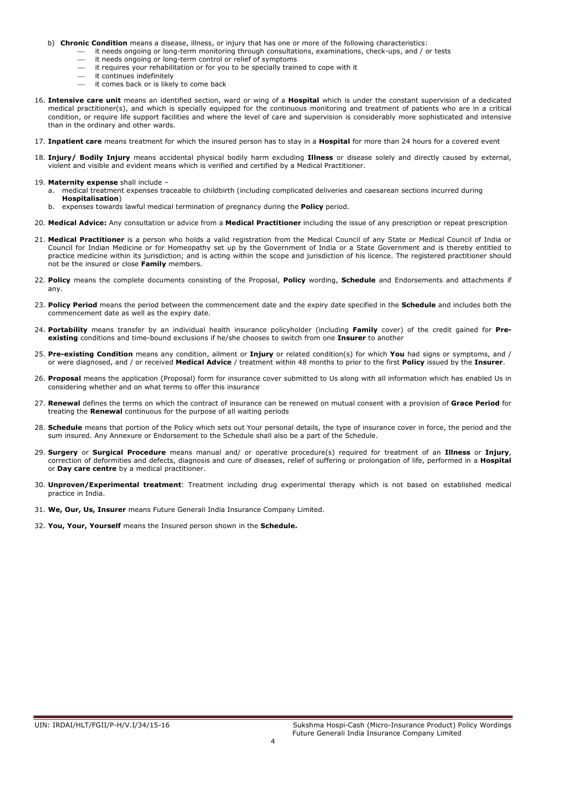- b) Chronic Condition means a disease, illness, or injury that has one or more of the following characteristics:
	- it needs ongoing or long-term monitoring through consultations, examinations, check-ups, and / or tests
		- it needs ongoing or long-term control or relief of symptoms
	- it requires your rehabilitation or for you to be specially trained to cope with it
	- it continues indefinitely
	- it comes back or is likely to come back
- 16. Intensive care unit means an identified section, ward or wing of a Hospital which is under the constant supervision of a dedicated medical practitioner(s), and which is specially equipped for the continuous monitoring and treatment of patients who are in a critical condition, or require life support facilities and where the level of care and supervision is considerably more sophisticated and intensive than in the ordinary and other wards.
- 17. Inpatient care means treatment for which the insured person has to stay in a Hospital for more than 24 hours for a covered event
- 18. Injury/ Bodily Injury means accidental physical bodily harm excluding Illness or disease solely and directly caused by external, violent and visible and evident means which is verified and certified by a Medical Practitioner.
- 19. Maternity expense shall include
	- a. medical treatment expenses traceable to childbirth (including complicated deliveries and caesarean sections incurred during Hospitalisation)
	- b. expenses towards lawful medical termination of pregnancy during the **Policy** period.
- 20. Medical Advice: Any consultation or advice from a Medical Practitioner including the issue of any prescription or repeat prescription
- 21. Medical Practitioner is a person who holds a valid registration from the Medical Council of any State or Medical Council of India or Council for Indian Medicine or for Homeopathy set up by the Government of India or a State Government and is thereby entitled to practice medicine within its jurisdiction; and is acting within the scope and jurisdiction of his licence. The registered practitioner should not be the insured or close Family members.
- 22. Policy means the complete documents consisting of the Proposal, Policy wording, Schedule and Endorsements and attachments if any.
- 23. Policy Period means the period between the commencement date and the expiry date specified in the Schedule and includes both the commencement date as well as the expiry date.
- 24. Portability means transfer by an individual health insurance policyholder (including Family cover) of the credit gained for Preexisting conditions and time-bound exclusions if he/she chooses to switch from one Insurer to another
- 25. Pre-existing Condition means any condition, ailment or Injury or related condition(s) for which You had signs or symptoms, and / or were diagnosed, and / or received Medical Advice / treatment within 48 months to prior to the first Policy issued by the Insurer.
- 26. Proposal means the application (Proposal) form for insurance cover submitted to Us along with all information which has enabled Us in considering whether and on what terms to offer this insurance
- 27. Renewal defines the terms on which the contract of insurance can be renewed on mutual consent with a provision of Grace Period for treating the Renewal continuous for the purpose of all waiting periods
- 28. Schedule means that portion of the Policy which sets out Your personal details, the type of insurance cover in force, the period and the sum insured. Any Annexure or Endorsement to the Schedule shall also be a part of the Schedule.
- 29. Surgery or Surgical Procedure means manual and/ or operative procedure(s) required for treatment of an Illness or Injury, correction of deformities and defects, diagnosis and cure of diseases, relief of suffering or prolongation of life, performed in a Hospital or **Day care centre** by a medical practitioner.
- 30. Unproven/Experimental treatment: Treatment including drug experimental therapy which is not based on established medical practice in India.

31. We, Our, Us, Insurer means Future Generali India Insurance Company Limited.

32. You, Your, Yourself means the Insured person shown in the Schedule.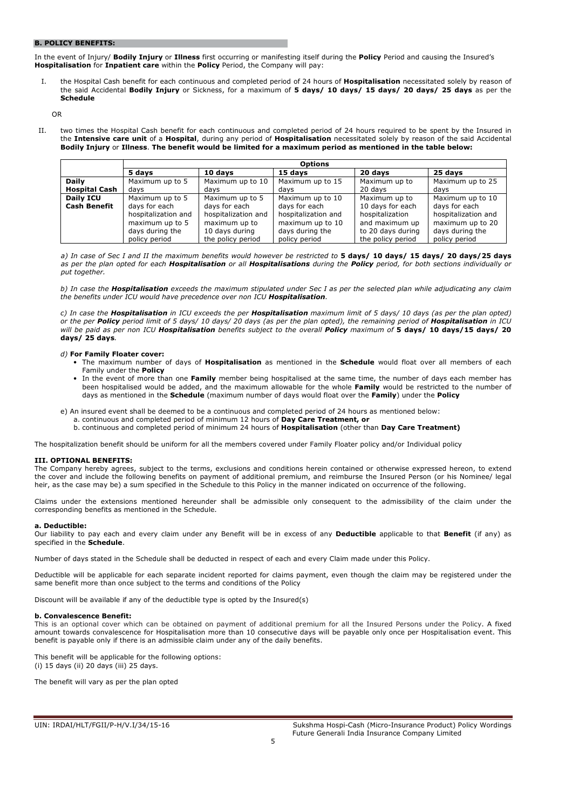# B. POLICY BENEFITS:

In the event of Injury/ Bodily Injury or Illness first occurring or manifesting itself during the Policy Period and causing the Insured's Hospitalisation for Inpatient care within the Policy Period, the Company will pay:

I. the Hospital Cash benefit for each continuous and completed period of 24 hours of Hospitalisation necessitated solely by reason of the said Accidental Bodily Injury or Sickness, for a maximum of 5 days/ 10 days/ 15 days/ 20 days/ 25 days as per the Schedule

OR

II. two times the Hospital Cash benefit for each continuous and completed period of 24 hours required to be spent by the Insured in the Intensive care unit of a Hospital, during any period of Hospitalisation necessitated solely by reason of the said Accidental Bodily Injury or Illness. The benefit would be limited for a maximum period as mentioned in the table below:

|                      |                     |                     | <b>Options</b>      |                   |                     |
|----------------------|---------------------|---------------------|---------------------|-------------------|---------------------|
|                      | 5 days              | 10 days             | 15 days             | 20 days           | 25 days             |
| <b>Daily</b>         | Maximum up to 5     | Maximum up to 10    | Maximum up to 15    | Maximum up to     | Maximum up to 25    |
| <b>Hospital Cash</b> | davs                | davs                | davs                | 20 davs           | davs                |
| Daily ICU            | Maximum up to 5     | Maximum up to 5     | Maximum up to 10    | Maximum up to     | Maximum up to 10    |
| <b>Cash Benefit</b>  | days for each       | days for each       | days for each       | 10 days for each  | days for each       |
|                      | hospitalization and | hospitalization and | hospitalization and | hospitalization   | hospitalization and |
|                      | maximum up to 5     | maximum up to       | maximum up to 10    | and maximum up    | maximum up to 20    |
|                      | days during the     | 10 days during      | days during the     | to 20 days during | days during the     |
|                      | policy period       | the policy period   | policy period       | the policy period | policy period       |

a) In case of Sec I and II the maximum benefits would however be restricted to 5 days/ 10 days/ 15 days/ 20 days/25 days as per the plan opted for each Hospitalisation or all Hospitalisations during the Policy period, for both sections individually or put together.

b) In case the Hospitalisation exceeds the maximum stipulated under Sec I as per the selected plan while adjudicating any claim the benefits under ICU would have precedence over non ICU Hospitalisation.

c) In case the Hospitalisation in ICU exceeds the per Hospitalisation maximum limit of 5 days/ 10 days (as per the plan opted) or the per Policy period limit of 5 days/ 10 days/ 20 days (as per the plan opted), the remaining period of Hospitalisation in ICU will be paid as per non ICU Hospitalisation benefits subject to the overall Policy maximum of 5 days/ 10 days/15 days/ 20 days/ 25 days.

# d) For Family Floater cover:

- The maximum number of days of **Hospitalisation** as mentioned in the **Schedule** would float over all members of each Family under the **Policy**
- In the event of more than one Family member being hospitalised at the same time, the number of days each member has been hospitalised would be added, and the maximum allowable for the whole Family would be restricted to the number of days as mentioned in the Schedule (maximum number of days would float over the Family) under the Policy
- e) An insured event shall be deemed to be a continuous and completed period of 24 hours as mentioned below:
	- a. continuous and completed period of minimum 12 hours of Day Care Treatment, or
	- b. continuous and completed period of minimum 24 hours of Hospitalisation (other than Day Care Treatment)

The hospitalization benefit should be uniform for all the members covered under Family Floater policy and/or Individual policy

# III. OPTIONAL BENEFITS:

The Company hereby agrees, subject to the terms, exclusions and conditions herein contained or otherwise expressed hereon, to extend the cover and include the following benefits on payment of additional premium, and reimburse the Insured Person (or his Nominee/ legal heir, as the case may be) a sum specified in the Schedule to this Policy in the manner indicated on occurrence of the following

Claims under the extensions mentioned hereunder shall be admissible only consequent to the admissibility of the claim under the corresponding benefits as mentioned in the Schedule.

# a. Deductible:

Our liability to pay each and every claim under any Benefit will be in excess of any Deductible applicable to that Benefit (if any) as specified in the **Schedule**.

Number of days stated in the Schedule shall be deducted in respect of each and every Claim made under this Policy.

Deductible will be applicable for each separate incident reported for claims payment, even though the claim may be registered under the same benefit more than once subject to the terms and conditions of the Policy

Discount will be available if any of the deductible type is opted by the Insured(s)

# b. Convalescence Benefit:

This is an optional cover which can be obtained on payment of additional premium for all the Insured Persons under the Policy. A fixed amount towards convalescence for Hospitalisation more than 10 consecutive days will be payable only once per Hospitalisation event. This benefit is payable only if there is an admissible claim under any of the daily benefits.

This benefit will be applicable for the following options: (i) 15 days (ii) 20 days (iii) 25 days.

The benefit will vary as per the plan opted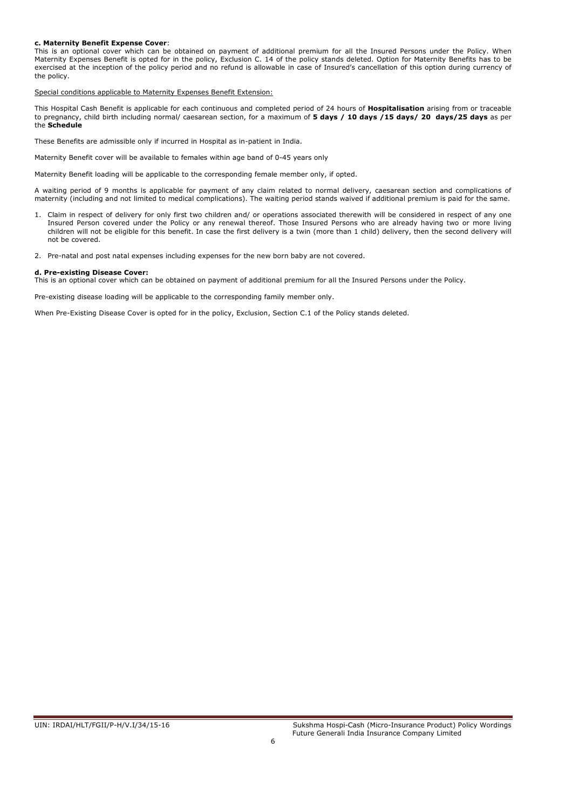# c. Maternity Benefit Expense Cover:

This is an optional cover which can be obtained on payment of additional premium for all the Insured Persons under the Policy. When Maternity Expenses Benefit is opted for in the policy, Exclusion C. 14 of the policy stands deleted. Option for Maternity Benefits has to be exercised at the inception of the policy period and no refund is allowable in case of Insured's cancellation of this option during currency of the policy.

Special conditions applicable to Maternity Expenses Benefit Extension:

This Hospital Cash Benefit is applicable for each continuous and completed period of 24 hours of Hospitalisation arising from or traceable to pregnancy, child birth including normal/ caesarean section, for a maximum of 5 days / 10 days / 15 days / 20 days/25 days as per the Schedule

These Benefits are admissible only if incurred in Hospital as in-patient in India.

Maternity Benefit cover will be available to females within age band of 0-45 years only

Maternity Benefit loading will be applicable to the corresponding female member only, if opted.

A waiting period of 9 months is applicable for payment of any claim related to normal delivery, caesarean section and complications of maternity (including and not limited to medical complications). The waiting period stands waived if additional premium is paid for the same.

- 1. Claim in respect of delivery for only first two children and/ or operations associated therewith will be considered in respect of any one Insured Person covered under the Policy or any renewal thereof. Those Insured Persons who are already having two or more living children will not be eligible for this benefit. In case the first delivery is a twin (more than 1 child) delivery, then the second delivery will not be covered.
- 2. Pre-natal and post natal expenses including expenses for the new born baby are not covered.

#### d. Pre-existing Disease Cover:

This is an optional cover which can be obtained on payment of additional premium for all the Insured Persons under the Policy.

Pre-existing disease loading will be applicable to the corresponding family member only.

When Pre-Existing Disease Cover is opted for in the policy, Exclusion, Section C.1 of the Policy stands deleted.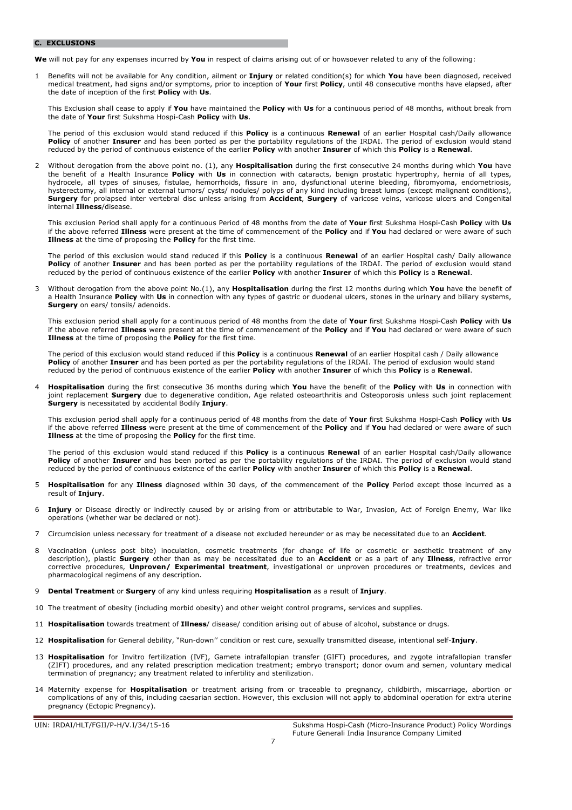#### C. EXCLUSIONS

We will not pay for any expenses incurred by You in respect of claims arising out of or howsoever related to any of the following:

1 Benefits will not be available for Any condition, ailment or *Injury* or related condition(s) for which You have been diagnosed, received medical treatment, had signs and/or symptoms, prior to inception of Your first Policy, until 48 consecutive months have elapsed, after the date of inception of the first **Policy** with Us.

This Exclusion shall cease to apply if You have maintained the Policy with Us for a continuous period of 48 months, without break from the date of Your first Sukshma Hospi-Cash Policy with Us.

The period of this exclusion would stand reduced if this **Policy** is a continuous **Renewal** of an earlier Hospital cash/Daily allowance Policy of another Insurer and has been ported as per the portability regulations of the IRDAI. The period of exclusion would stand reduced by the period of continuous existence of the earlier Policy with another Insurer of which this Policy is a Renewal.

2 Without derogation from the above point no. (1), any Hospitalisation during the first consecutive 24 months during which You have the benefit of a Health Insurance Policy with Us in connection with cataracts, benign prostatic hypertrophy, hernia of all types, hydrocele, all types of sinuses, fistulae, hemorrhoids, fissure in ano, dysfunctional uterine bleeding, fibromyoma, endometriosis, hysterectomy, all internal or external tumors/ cysts/ nodules/ polyps of any kind including breast lumps (except malignant conditions), Surgery for prolapsed inter vertebral disc unless arising from Accident, Surgery of varicose veins, varicose ulcers and Congenital internal Illness/disease.

This exclusion Period shall apply for a continuous Period of 48 months from the date of Your first Sukshma Hospi-Cash Policy with Us if the above referred Illness were present at the time of commencement of the Policy and if You had declared or were aware of such Illness at the time of proposing the Policy for the first time.

The period of this exclusion would stand reduced if this Policy is a continuous Renewal of an earlier Hospital cash/ Daily allowance Policy of another Insurer and has been ported as per the portability regulations of the IRDAI. The period of exclusion would stand reduced by the period of continuous existence of the earlier Policy with another Insurer of which this Policy is a Renewal.

Without derogation from the above point No.(1), any Hospitalisation during the first 12 months during which You have the benefit of a Health Insurance Policy with Us in connection with any types of gastric or duodenal ulcers, stones in the urinary and biliary systems, Surgery on ears/ tonsils/ adenoids.

This exclusion period shall apply for a continuous period of 48 months from the date of Your first Sukshma Hospi-Cash Policy with Us if the above referred Illness were present at the time of commencement of the Policy and if You had declared or were aware of such **Illness** at the time of proposing the **Policy** for the first time.

The period of this exclusion would stand reduced if this **Policy** is a continuous **Renewal** of an earlier Hospital cash / Daily allowance Policy of another Insurer and has been ported as per the portability regulations of the IRDAI. The period of exclusion would stand reduced by the period of continuous existence of the earlier Policy with another Insurer of which this Policy is a Renewal.

4 Hospitalisation during the first consecutive 36 months during which You have the benefit of the Policy with Us in connection with joint replacement Surgery due to degenerative condition, Age related osteoarthritis and Osteoporosis unless such joint replacement Surgery is necessitated by accidental Bodily Injury.

This exclusion period shall apply for a continuous period of 48 months from the date of Your first Sukshma Hospi-Cash Policy with Us if the above referred Illness were present at the time of commencement of the Policy and if You had declared or were aware of such **Illness** at the time of proposing the **Policy** for the first time.

The period of this exclusion would stand reduced if this Policy is a continuous Renewal of an earlier Hospital cash/Daily allowance Policy of another Insurer and has been ported as per the portability regulations of the IRDAI. The period of exclusion would stand reduced by the period of continuous existence of the earlier Policy with another Insurer of which this Policy is a Renewal.

- 5 Hospitalisation for any Illness diagnosed within 30 days, of the commencement of the Policy Period except those incurred as a result of Injury.
- 6 Injury or Disease directly or indirectly caused by or arising from or attributable to War, Invasion, Act of Foreign Enemy, War like operations (whether war be declared or not).
- 7 Circumcision unless necessary for treatment of a disease not excluded hereunder or as may be necessitated due to an Accident.
- 8 Vaccination (unless post bite) inoculation, cosmetic treatments (for change of life or cosmetic or aesthetic treatment of any description), plastic **Surgery** other than as may be necessitated due to an **Accident** or as a part of any Illness, refractive error corrective procedures, *Unproven/ Experimental treatment*, investigational or unproven procedures or treatments, devices and pharmacological regimens of any description.
- **Dental Treatment or Surgery** of any kind unless requiring **Hospitalisation** as a result of Injury.
- 10 The treatment of obesity (including morbid obesity) and other weight control programs, services and supplies.
- 11 **Hospitalisation** towards treatment of **Illness**/ disease/ condition arising out of abuse of alcohol, substance or drugs.
- 12 Hospitalisation for General debility, "Run-down" condition or rest cure, sexually transmitted disease, intentional self-Injury.
- 13 Hospitalisation for Invitro fertilization (IVF), Gamete intrafallopian transfer (GIFT) procedures, and zygote intrafallopian transfer (ZIFT) procedures, and any related prescription medication treatment; embryo transport; donor ovum and semen, voluntary medical termination of pregnancy; any treatment related to infertility and sterilization.
- 14 Maternity expense for Hospitalisation or treatment arising from or traceable to pregnancy, childbirth, miscarriage, abortion or complications of any of this, including caesarian section. However, this exclusion will not apply to abdominal operation for extra uterine pregnancy (Ectopic Pregnancy).

UIN: IRDAI/HLT/FGII/P-H/V.I/34/15-16 Sukshma Hospi-Cash (Micro-Insurance Product) Policy Wordings Future Generali India Insurance Company Limited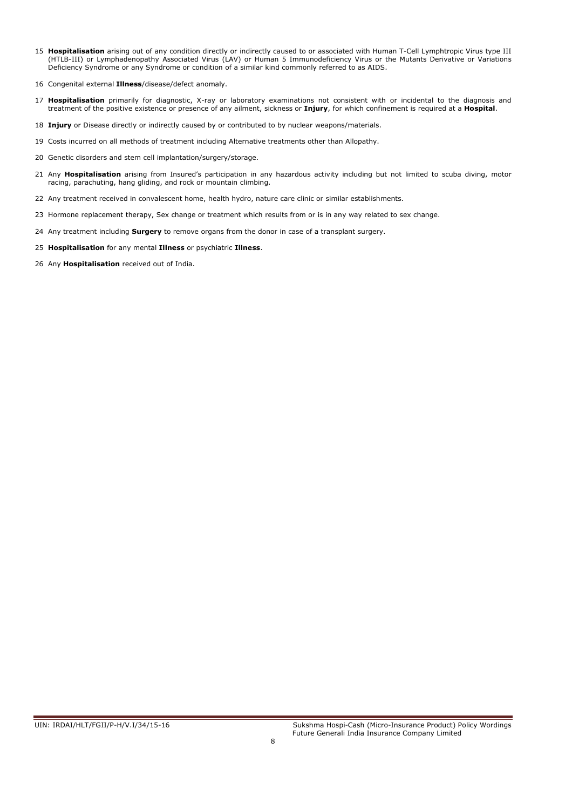- 15 Hospitalisation arising out of any condition directly or indirectly caused to or associated with Human T-Cell Lymphtropic Virus type III (HTLB-III) or Lymphadenopathy Associated Virus (LAV) or Human 5 Immunodeficiency Virus or the Mutants Derivative or Variations Deficiency Syndrome or any Syndrome or condition of a similar kind commonly referred to as AIDS.
- 16 Congenital external *Illness*/disease/defect anomaly.
- 17 Hospitalisation primarily for diagnostic, X-ray or laboratory examinations not consistent with or incidental to the diagnosis and treatment of the positive existence or presence of any ailment, sickness or Injury, for which confinement is required at a Hospital.
- 18 Injury or Disease directly or indirectly caused by or contributed to by nuclear weapons/materials.
- 19 Costs incurred on all methods of treatment including Alternative treatments other than Allopathy.
- 20 Genetic disorders and stem cell implantation/surgery/storage.
- 21 Any Hospitalisation arising from Insured's participation in any hazardous activity including but not limited to scuba diving, motor racing, parachuting, hang gliding, and rock or mountain climbing.
- 22 Any treatment received in convalescent home, health hydro, nature care clinic or similar establishments.
- 23 Hormone replacement therapy, Sex change or treatment which results from or is in any way related to sex change.
- 24 Any treatment including **Surgery** to remove organs from the donor in case of a transplant surgery.
- 25 Hospitalisation for any mental Illness or psychiatric Illness.
- 26 Any Hospitalisation received out of India.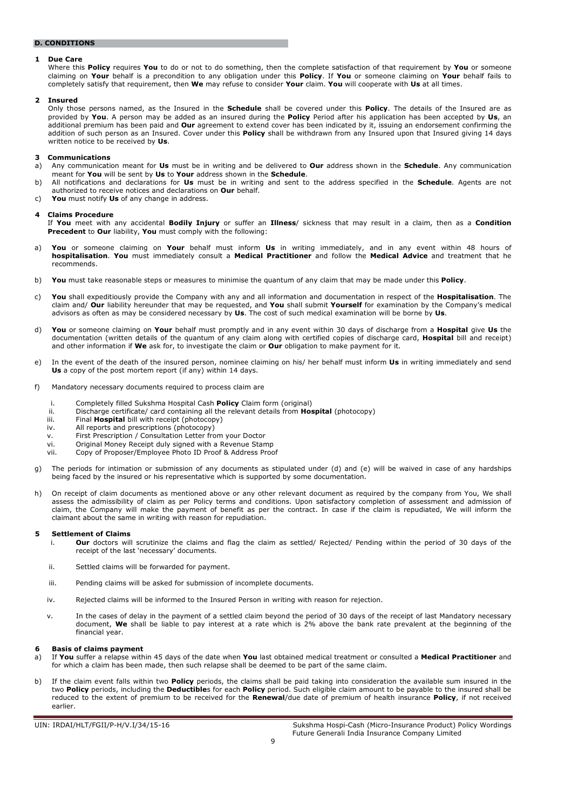# D. CONDITIONS

# 1 Due Care

Where this Policy requires You to do or not to do something, then the complete satisfaction of that requirement by You or someone claiming on Your behalf is a precondition to any obligation under this Policy. If You or someone claiming on Your behalf fails to completely satisfy that requirement, then We may refuse to consider Your claim. You will cooperate with Us at all times.

#### 2 Insured

Only those persons named, as the Insured in the Schedule shall be covered under this Policy. The details of the Insured are as provided by You. A person may be added as an insured during the Policy Period after his application has been accepted by Us, an additional premium has been paid and Our agreement to extend cover has been indicated by it, issuing an endorsement confirming the addition of such person as an Insured. Cover under this **Policy** shall be withdrawn from any Insured upon that Insured giving 14 days written notice to be received by Us.

#### 3 Communications

- a) Any communication meant for Us must be in writing and be delivered to Our address shown in the Schedule. Any communication meant for You will be sent by Us to Your address shown in the Schedule.
- b) All notifications and declarations for Us must be in writing and sent to the address specified in the Schedule. Agents are not authorized to receive notices and declarations on Our behalf.
- c) You must notify Us of any change in address.

#### **Claims Procedure**

If You meet with any accidental Bodily Injury or suffer an Illness/ sickness that may result in a claim, then as a Condition Precedent to Our liability, You must comply with the following:

- a) You or someone claiming on Your behalf must inform Us in writing immediately, and in any event within 48 hours of hospitalisation. You must immediately consult a Medical Practitioner and follow the Medical Advice and treatment that he recommends.
- b) You must take reasonable steps or measures to minimise the quantum of any claim that may be made under this Policy.
- c) You shall expeditiously provide the Company with any and all information and documentation in respect of the Hospitalisation. The claim and/ Our liability hereunder that may be requested, and You shall submit Yourself for examination by the Company's medical advisors as often as may be considered necessary by Us. The cost of such medical examination will be borne by Us.
- d) You or someone claiming on Your behalf must promptly and in any event within 30 days of discharge from a Hospital give Us the documentation (written details of the quantum of any claim along with certified copies of discharge card, **Hospital** bill and receipt) and other information if We ask for, to investigate the claim or Our obligation to make payment for it.
- e) In the event of the death of the insured person, nominee claiming on his/ her behalf must inform Us in writing immediately and send Us a copy of the post mortem report (if any) within 14 days.
- f) Mandatory necessary documents required to process claim are
	- i. Completely filled Sukshma Hospital Cash Policy Claim form (original)
	- ii. Discharge certificate/ card containing all the relevant details from Hospital (photocopy)
	- iii. Final **Hospital** bill with receipt (photocopy)
	- iv. All reports and prescriptions (photocopy)
	- v. First Prescription / Consultation Letter from your Doctor
	- vi. Original Money Receipt duly signed with a Revenue Stamp
	- vii. Copy of Proposer/Employee Photo ID Proof & Address Proof
- g) The periods for intimation or submission of any documents as stipulated under (d) and (e) will be waived in case of any hardships being faced by the insured or his representative which is supported by some documentation.
- h) On receipt of claim documents as mentioned above or any other relevant document as required by the company from You, We shall assess the admissibility of claim as per Policy terms and conditions. Upon satisfactory completion of assessment and admission of claim, the Company will make the payment of benefit as per the contract. In case if the claim is repudiated, We will inform the claimant about the same in writing with reason for repudiation.

# **5 Settlement of Claims**<br>i. **Our** doctors wil

- Our doctors will scrutinize the claims and flag the claim as settled/ Rejected/ Pending within the period of 30 days of the receipt of the last 'necessary' documents.
- ii. Settled claims will be forwarded for payment.
- iii. Pending claims will be asked for submission of incomplete documents.
- iv. Rejected claims will be informed to the Insured Person in writing with reason for rejection.
- v. In the cases of delay in the payment of a settled claim beyond the period of 30 days of the receipt of last Mandatory necessary document, We shall be liable to pay interest at a rate which is 2% above the bank rate prevalent at the beginning of the financial year.

# 6 Basis of claims payment

- a) If You suffer a relapse within 45 days of the date when You last obtained medical treatment or consulted a Medical Practitioner and for which a claim has been made, then such relapse shall be deemed to be part of the same claim.
- b) If the claim event falls within two **Policy** periods, the claims shall be paid taking into consideration the available sum insured in the two Policy periods, including the Deductibles for each Policy period. Such eligible claim amount to be payable to the insured shall be reduced to the extent of premium to be received for the Renewal/due date of premium of health insurance Policy, if not received earlier.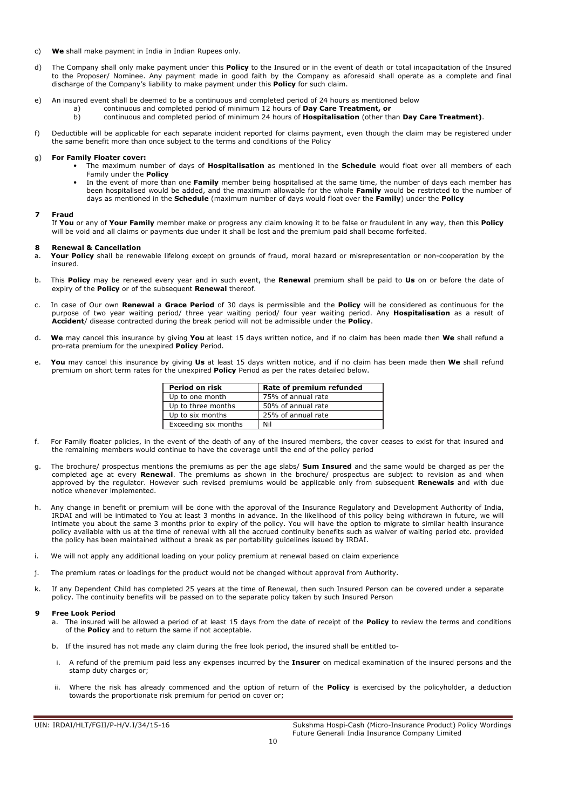- c) We shall make payment in India in Indian Rupees only.
- d) The Company shall only make payment under this **Policy** to the Insured or in the event of death or total incapacitation of the Insured to the Proposer/ Nominee. Any payment made in good faith by the Company as aforesaid shall operate as a complete and final discharge of the Company's liability to make payment under this **Policy** for such claim.
- e) An insured event shall be deemed to be a continuous and completed period of 24 hours as mentioned below
	- a) continuous and completed period of minimum  $\overline{12}$  hours of **Day Care Treatment, or** b) continuous and completed period of minimum 24 hours of **Hospitalisation** (other the
		- continuous and completed period of minimum 24 hours of **Hospitalisation** (other than **Day Care Treatment)**.
- f) Deductible will be applicable for each separate incident reported for claims payment, even though the claim may be registered under the same benefit more than once subject to the terms and conditions of the Policy

#### g) For Family Floater cover:

- The maximum number of days of Hospitalisation as mentioned in the Schedule would float over all members of each Family under the Policy
- In the event of more than one Family member being hospitalised at the same time, the number of days each member has been hospitalised would be added, and the maximum allowable for the whole Family would be restricted to the number of days as mentioned in the **Schedule** (maximum number of days would float over the Family) under the Policy

#### 7 Fraud

If You or any of Your Family member make or progress any claim knowing it to be false or fraudulent in any way, then this Policy will be void and all claims or payments due under it shall be lost and the premium paid shall become forfeited.

#### **Renewal & Cancellation**

Your Policy shall be renewable lifelong except on grounds of fraud, moral hazard or misrepresentation or non-cooperation by the insured.

- b. This Policy may be renewed every year and in such event, the Renewal premium shall be paid to Us on or before the date of expiry of the Policy or of the subsequent Renewal thereof.
- c. In case of Our own Renewal a Grace Period of 30 days is permissible and the Policy will be considered as continuous for the purpose of two year waiting period/ three year waiting period/ four year waiting period. Any Hospitalisation as a result of Accident/ disease contracted during the break period will not be admissible under the Policy.
- d. We may cancel this insurance by giving You at least 15 days written notice, and if no claim has been made then We shall refund a pro-rata premium for the unexpired Policy Period.
- e. You may cancel this insurance by giving Us at least 15 days written notice, and if no claim has been made then We shall refund premium on short term rates for the unexpired Policy Period as per the rates detailed below.

| Period on risk       | Rate of premium refunded |  |  |  |
|----------------------|--------------------------|--|--|--|
| Up to one month      | 75% of annual rate       |  |  |  |
| Up to three months   | 50% of annual rate       |  |  |  |
| Up to six months     | 25% of annual rate       |  |  |  |
| Exceeding six months | Nil                      |  |  |  |

- f. For Family floater policies, in the event of the death of any of the insured members, the cover ceases to exist for that insured and the remaining members would continue to have the coverage until the end of the policy period
- g. The brochure/ prospectus mentions the premiums as per the age slabs/ Sum Insured and the same would be charged as per the completed age at every Renewal. The premiums as shown in the brochure/ prospectus are subject to revision as and when approved by the regulator. However such revised premiums would be applicable only from subsequent Renewals and with due notice whenever implemented.
- h. Any change in benefit or premium will be done with the approval of the Insurance Regulatory and Development Authority of India, IRDAI and will be intimated to You at least 3 months in advance. In the likelihood of this policy being withdrawn in future, we will intimate you about the same 3 months prior to expiry of the policy. You will have the option to migrate to similar health insurance policy available with us at the time of renewal with all the accrued continuity benefits such as waiver of waiting period etc. provided the policy has been maintained without a break as per portability guidelines issued by IRDAI.
- i. We will not apply any additional loading on your policy premium at renewal based on claim experience
- j. The premium rates or loadings for the product would not be changed without approval from Authority.
- k. If any Dependent Child has completed 25 years at the time of Renewal, then such Insured Person can be covered under a separate policy. The continuity benefits will be passed on to the separate policy taken by such Insured Person

# 9 Free Look Period

- a. The insured will be allowed a period of at least 15 days from the date of receipt of the Policy to review the terms and conditions of the **Policy** and to return the same if not acceptable.
- b. If the insured has not made any claim during the free look period, the insured shall be entitled to-
- i. A refund of the premium paid less any expenses incurred by the Insurer on medical examination of the insured persons and the stamp duty charges or;
- ii. Where the risk has already commenced and the option of return of the **Policy** is exercised by the policyholder, a deduction towards the proportionate risk premium for period on cover or;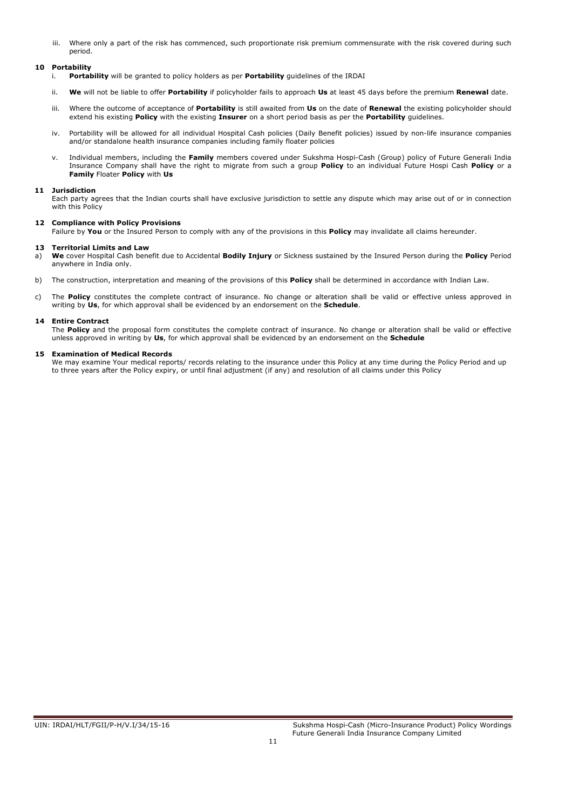iii. Where only a part of the risk has commenced, such proportionate risk premium commensurate with the risk covered during such period.

# 10 Portability

- i. Portability will be granted to policy holders as per Portability guidelines of the IRDAI
- ii. We will not be liable to offer Portability if policyholder fails to approach Us at least 45 days before the premium Renewal date.
- iii. Where the outcome of acceptance of Portability is still awaited from Us on the date of Renewal the existing policyholder should extend his existing Policy with the existing Insurer on a short period basis as per the Portability guidelines.
- iv. Portability will be allowed for all individual Hospital Cash policies (Daily Benefit policies) issued by non-life insurance companies and/or standalone health insurance companies including family floater policies
- v. Individual members, including the Family members covered under Sukshma Hospi-Cash (Group) policy of Future Generali India Insurance Company shall have the right to migrate from such a group Policy to an individual Future Hospi Cash Policy or a Family Floater Policy with Us

# 11 Jurisdiction

Each party agrees that the Indian courts shall have exclusive jurisdiction to settle any dispute which may arise out of or in connection with this Policy

# 12 Compliance with Policy Provisions

Failure by You or the Insured Person to comply with any of the provisions in this Policy may invalidate all claims hereunder.

# 13 Territorial Limits and Law

a) We cover Hospital Cash benefit due to Accidental Bodily Injury or Sickness sustained by the Insured Person during the Policy Period anywhere in India only.

- b) The construction, interpretation and meaning of the provisions of this **Policy** shall be determined in accordance with Indian Law.
- c) The Policy constitutes the complete contract of insurance. No change or alteration shall be valid or effective unless approved in writing by Us, for which approval shall be evidenced by an endorsement on the Schedule.

# 14 Entire Contract

The Policy and the proposal form constitutes the complete contract of insurance. No change or alteration shall be valid or effective unless approved in writing by Us, for which approval shall be evidenced by an endorsement on the Schedule

# 15 Examination of Medical Records

We may examine Your medical reports/ records relating to the insurance under this Policy at any time during the Policy Period and up to three years after the Policy expiry, or until final adjustment (if any) and resolution of all claims under this Policy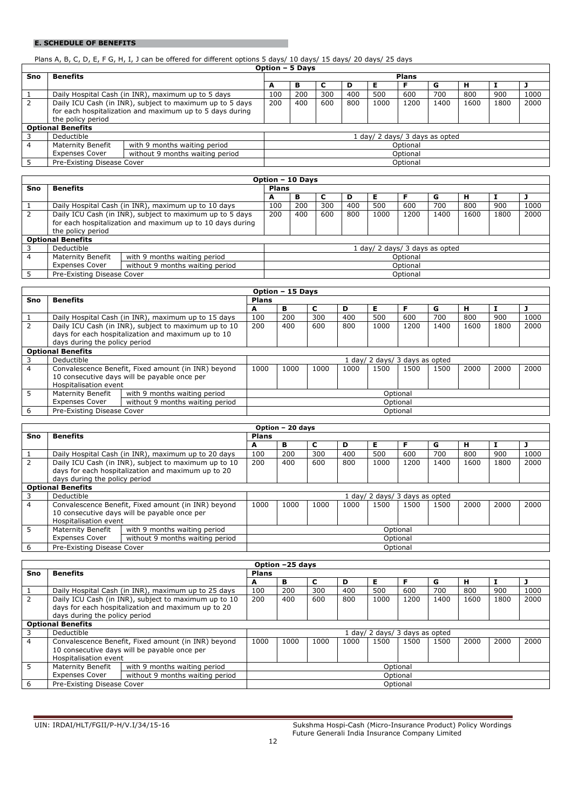# E. SCHEDULE OF BENEFITS

# Plans A, B, C, D, E, F G, H, I, J can be offered for different options 5 days/ 10 days/ 15 days/ 20 days/ 25 days

| <b>Benefits</b>                                          |                          | <b>Plans</b>                                                                                                                                 |          |     |                 |      |      |          |      |      |      |
|----------------------------------------------------------|--------------------------|----------------------------------------------------------------------------------------------------------------------------------------------|----------|-----|-----------------|------|------|----------|------|------|------|
|                                                          |                          | A                                                                                                                                            | в        |     | D               | Е    |      | G        | н    |      |      |
|                                                          |                          | 100                                                                                                                                          | 200      | 300 | 400             | 500  | 600  | 700      | 800  | 900  | 1000 |
|                                                          |                          | 200                                                                                                                                          | 400      | 600 | 800             | 1000 | 1200 | 1400     | 1600 | 1800 | 2000 |
| for each hospitalization and maximum up to 5 days during |                          |                                                                                                                                              |          |     |                 |      |      |          |      |      |      |
| the policy period                                        |                          |                                                                                                                                              |          |     |                 |      |      |          |      |      |      |
|                                                          |                          |                                                                                                                                              |          |     |                 |      |      |          |      |      |      |
| Deductible                                               |                          | 1 day/ 2 days/ 3 days as opted                                                                                                               |          |     |                 |      |      |          |      |      |      |
| with 9 months waiting period<br><b>Maternity Benefit</b> |                          |                                                                                                                                              | Optional |     |                 |      |      |          |      |      |      |
| <b>Expenses Cover</b><br>without 9 months waiting period |                          |                                                                                                                                              | Optional |     |                 |      |      |          |      |      |      |
|                                                          |                          |                                                                                                                                              |          |     |                 |      |      |          |      |      |      |
|                                                          | <b>Optional Benefits</b> | Daily Hospital Cash (in INR), maximum up to 5 days<br>Daily ICU Cash (in INR), subject to maximum up to 5 days<br>Pre-Existing Disease Cover |          |     | Option - 5 Days |      |      | Optional |      |      |      |

|     | Option - 10 Days                                          |                                                          |                                |          |          |     |      |      |      |      |      |      |  |
|-----|-----------------------------------------------------------|----------------------------------------------------------|--------------------------------|----------|----------|-----|------|------|------|------|------|------|--|
| Sno | <b>Benefits</b>                                           | <b>Plans</b>                                             |                                |          |          |     |      |      |      |      |      |      |  |
|     |                                                           |                                                          | A                              | в        | ◡        | D   | Е    |      | G    | н    |      |      |  |
|     |                                                           | Daily Hospital Cash (in INR), maximum up to 10 days      | 100                            | 200      | 300      | 400 | 500  | 600  | 700  | 800  | 900  | 1000 |  |
|     |                                                           | Daily ICU Cash (in INR), subject to maximum up to 5 days | 200                            | 400      | 600      | 800 | 1000 | 1200 | 1400 | 1600 | 1800 | 2000 |  |
|     | for each hospitalization and maximum up to 10 days during |                                                          |                                |          |          |     |      |      |      |      |      |      |  |
|     | the policy period                                         |                                                          |                                |          |          |     |      |      |      |      |      |      |  |
|     | <b>Optional Benefits</b>                                  |                                                          |                                |          |          |     |      |      |      |      |      |      |  |
|     | Deductible                                                |                                                          | 1 day/ 2 days/ 3 days as opted |          |          |     |      |      |      |      |      |      |  |
| 4   | <b>Maternity Benefit</b>                                  | with 9 months waiting period                             |                                |          | Optional |     |      |      |      |      |      |      |  |
|     | <b>Expenses Cover</b><br>without 9 months waiting period  |                                                          |                                | Optional |          |     |      |      |      |      |      |      |  |
|     | Pre-Existing Disease Cover                                |                                                          | Optional                       |          |          |     |      |      |      |      |      |      |  |

|                | Option - 15 Days                                                                                                                            |                                                     |                                |          |      |      |      |          |      |      |      |      |
|----------------|---------------------------------------------------------------------------------------------------------------------------------------------|-----------------------------------------------------|--------------------------------|----------|------|------|------|----------|------|------|------|------|
| Sno            | <b>Benefits</b>                                                                                                                             |                                                     | <b>Plans</b>                   |          |      |      |      |          |      |      |      |      |
|                |                                                                                                                                             |                                                     |                                |          | c    | D    | Е    |          | G    | н    |      |      |
|                |                                                                                                                                             | Daily Hospital Cash (in INR), maximum up to 15 days | 100                            | 200      | 300  | 400  | 500  | 600      | 700  | 800  | 900  | 1000 |
|                | Daily ICU Cash (in INR), subject to maximum up to 10<br>days for each hospitalization and maximum up to 10<br>days during the policy period |                                                     | 200                            | 400      | 600  | 800  | 1000 | 1200     | 1400 | 1600 | 1800 | 2000 |
|                | <b>Optional Benefits</b>                                                                                                                    |                                                     |                                |          |      |      |      |          |      |      |      |      |
|                | Deductible                                                                                                                                  |                                                     | 1 day/ 2 days/ 3 days as opted |          |      |      |      |          |      |      |      |      |
| $\overline{4}$ | Convalescence Benefit, Fixed amount (in INR) beyond<br>10 consecutive days will be payable once per<br>Hospitalisation event                |                                                     | 1000                           | 1000     | 1000 | 1000 | 1500 | 1500     | 1500 | 2000 | 2000 | 2000 |
| 5.             | <b>Maternity Benefit</b>                                                                                                                    | with 9 months waiting period                        | Optional                       |          |      |      |      |          |      |      |      |      |
|                | <b>Expenses Cover</b><br>without 9 months waiting period                                                                                    |                                                     |                                | Optional |      |      |      |          |      |      |      |      |
|                | Pre-Existing Disease Cover                                                                                                                  |                                                     |                                |          |      |      |      | Optional |      |      |      |      |

|                          | Option - 20 days                                         |                                                      |                              |          |      |      |      |          |      |      |      |      |
|--------------------------|----------------------------------------------------------|------------------------------------------------------|------------------------------|----------|------|------|------|----------|------|------|------|------|
| Sno                      | <b>Benefits</b>                                          |                                                      | <b>Plans</b>                 |          |      |      |      |          |      |      |      |      |
|                          |                                                          |                                                      |                              | в        | C    | D    | Е    | F        | G    | н    |      |      |
|                          |                                                          | Daily Hospital Cash (in INR), maximum up to 20 days  | 100                          | 200      | 300  | 400  | 500  | 600      | 700  | 800  | 900  | 1000 |
| $\mathcal{P}$            |                                                          | Daily ICU Cash (in INR), subject to maximum up to 10 | 200                          | 400      | 600  | 800  | 1000 | 1200     | 1400 | 1600 | 1800 | 2000 |
|                          |                                                          | days for each hospitalization and maximum up to 20   |                              |          |      |      |      |          |      |      |      |      |
|                          | days during the policy period                            |                                                      |                              |          |      |      |      |          |      |      |      |      |
| <b>Optional Benefits</b> |                                                          |                                                      |                              |          |      |      |      |          |      |      |      |      |
|                          | Deductible                                               |                                                      | day/ 2 days/ 3 days as opted |          |      |      |      |          |      |      |      |      |
| $\overline{4}$           |                                                          | Convalescence Benefit, Fixed amount (in INR) beyond  | 1000                         | 1000     | 1000 | 1000 | 1500 | 1500     | 1500 | 2000 | 2000 | 2000 |
|                          |                                                          | 10 consecutive days will be payable once per         |                              |          |      |      |      |          |      |      |      |      |
|                          | Hospitalisation event                                    |                                                      |                              |          |      |      |      |          |      |      |      |      |
| 5.                       | <b>Maternity Benefit</b>                                 | with 9 months waiting period                         |                              |          |      |      |      | Optional |      |      |      |      |
|                          | <b>Expenses Cover</b><br>without 9 months waiting period |                                                      |                              | Optional |      |      |      |          |      |      |      |      |
| 6                        | Pre-Existing Disease Cover                               |                                                      |                              |          |      |      |      | Optional |      |      |      |      |

|     |                                                                                                                              |                                                                                                            |                                | Option -25 days |      |      |      |          |      |      |      |      |
|-----|------------------------------------------------------------------------------------------------------------------------------|------------------------------------------------------------------------------------------------------------|--------------------------------|-----------------|------|------|------|----------|------|------|------|------|
| Sno | <b>Benefits</b>                                                                                                              | <b>Plans</b>                                                                                               |                                |                 |      |      |      |          |      |      |      |      |
|     |                                                                                                                              |                                                                                                            | A                              | в               | C    | D    | Е    | F        | G    | н    |      |      |
|     |                                                                                                                              | Daily Hospital Cash (in INR), maximum up to 25 days                                                        | 100                            | 200             | 300  | 400  | 500  | 600      | 700  | 800  | 900  | 1000 |
|     |                                                                                                                              | Daily ICU Cash (in INR), subject to maximum up to 10<br>days for each hospitalization and maximum up to 20 | 200                            | 400             | 600  | 800  | 1000 | 1200     | 1400 | 1600 | 1800 | 2000 |
|     | days during the policy period                                                                                                |                                                                                                            |                                |                 |      |      |      |          |      |      |      |      |
|     | <b>Optional Benefits</b>                                                                                                     |                                                                                                            |                                |                 |      |      |      |          |      |      |      |      |
| 3   | Deductible                                                                                                                   |                                                                                                            | 1 day/ 2 days/ 3 days as opted |                 |      |      |      |          |      |      |      |      |
| 4   | Convalescence Benefit, Fixed amount (in INR) beyond<br>10 consecutive days will be payable once per<br>Hospitalisation event |                                                                                                            | 1000                           | 1000            | 1000 | 1000 | 1500 | 1500     | 1500 | 2000 | 2000 | 2000 |
| 5.  | <b>Maternity Benefit</b>                                                                                                     | with 9 months waiting period                                                                               |                                |                 |      |      |      | Optional |      |      |      |      |
|     | <b>Expenses Cover</b>                                                                                                        | without 9 months waiting period                                                                            | Optional                       |                 |      |      |      |          |      |      |      |      |
| -6  | Pre-Existing Disease Cover                                                                                                   |                                                                                                            |                                |                 |      |      |      | Optional |      |      |      |      |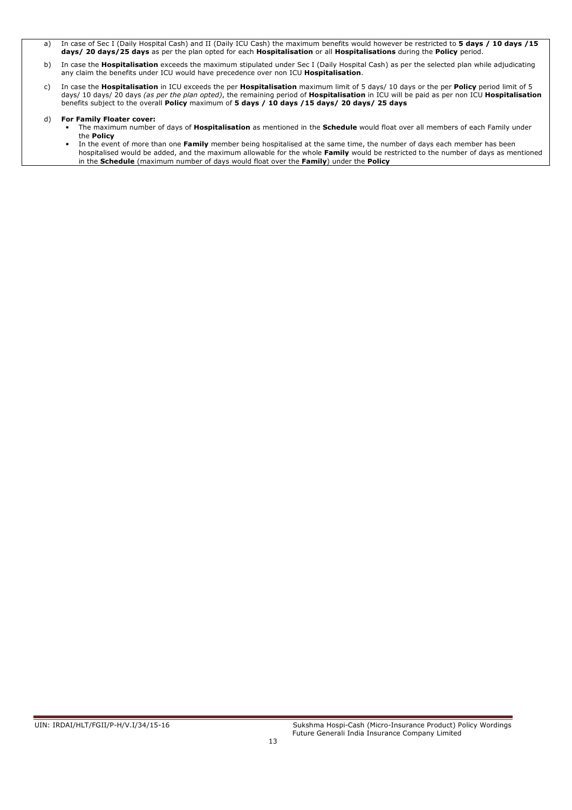- a) In case of Sec I (Daily Hospital Cash) and II (Daily ICU Cash) the maximum benefits would however be restricted to 5 days / 10 days / 15 days/ 20 days/25 days as per the plan opted for each Hospitalisation or all Hospitalisations during the Policy period.
- b) In case the Hospitalisation exceeds the maximum stipulated under Sec I (Daily Hospital Cash) as per the selected plan while adjudicating any claim the benefits under ICU would have precedence over non ICU Hospitalisation.
- c) In case the Hospitalisation in ICU exceeds the per Hospitalisation maximum limit of 5 days/ 10 days or the per Policy period limit of 5 days/ 10 days/ 20 days (as per the plan opted), the remaining period of **Hospitalisation** in ICU will be paid as per non ICU **Hospitalisation** benefits subject to the overall Policy maximum of 5 days / 10 days /15 days/ 20 days/ 25 days

# d) For Family Floater cover:

- The maximum number of days of **Hospitalisation** as mentioned in the **Schedule** would float over all members of each Family under the Policy
- In the event of more than one Family member being hospitalised at the same time, the number of days each member has been hospitalised would be added, and the maximum allowable for the whole Family would be restricted to the number of days as mentioned in the Schedule (maximum number of days would float over the Family) under the Policy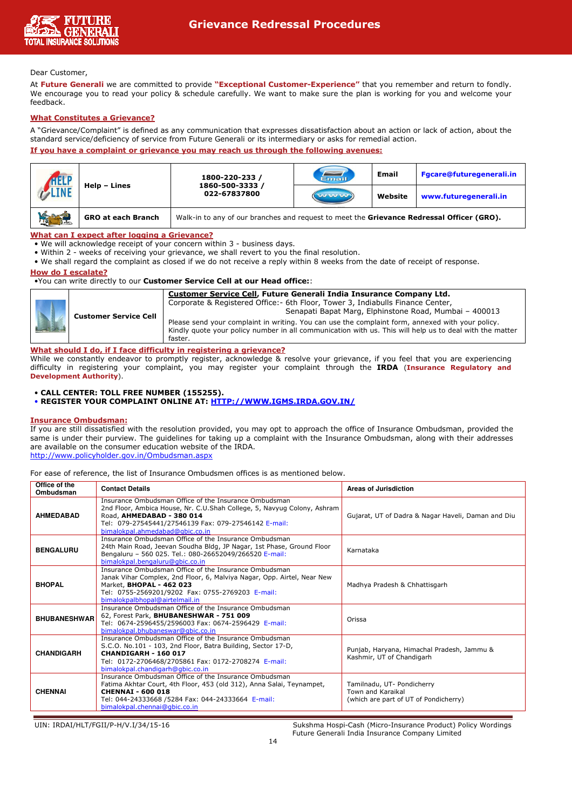

# Dear Customer,

i<br>I

At Future Generali we are committed to provide "Exceptional Customer-Experience" that you remember and return to fondly. We encourage you to read your policy & schedule carefully. We want to make sure the plan is working for you and welcome your feedback.

# What Constitutes a Grievance?

A "Grievance/Complaint" is defined as any communication that expresses dissatisfaction about an action or lack of action, about the standard service/deficiency of service from Future Generali or its intermediary or asks for remedial action.

# If you have a complaint or grievance you may reach us through the following avenues:

|                                    |                           | 1800-220-233 /                                                                            | Email               | <b>Email</b> | Fgcare@futuregenerali.in |  |  |  |  |
|------------------------------------|---------------------------|-------------------------------------------------------------------------------------------|---------------------|--------------|--------------------------|--|--|--|--|
| HELP                               | Help - Lines              | 1860-500-3333 /<br>022-67837800                                                           | <b>WAS LOS VOID</b> | Website      | www.futuregenerali.in    |  |  |  |  |
| <b>LANDER</b><br><b>TOUL TIGHT</b> | <b>GRO at each Branch</b> | Walk-in to any of our branches and request to meet the Grievance Redressal Officer (GRO). |                     |              |                          |  |  |  |  |

What can I expect after logging a Grievance?

- We will acknowledge receipt of your concern within 3 business days.
- Within 2 weeks of receiving your grievance, we shall revert to you the final resolution.
- We shall regard the complaint as closed if we do not receive a reply within 8 weeks from the date of receipt of response.

# How do I escalate?

# •You can write directly to our Customer Service Cell at our Head office::

|  | <b>Customer Service Cell</b> | Customer Service Cell, Future Generali India Insurance Company Ltd.<br>Corporate & Registered Office: - 6th Floor, Tower 3, Indiabulls Finance Center,<br>Senapati Bapat Marg, Elphinstone Road, Mumbai - 400013<br>Please send your complaint in writing. You can use the complaint form, annexed with your policy.<br>Kindly guote your policy number in all communication with us. This will help us to deal with the matter<br>faster. |
|--|------------------------------|--------------------------------------------------------------------------------------------------------------------------------------------------------------------------------------------------------------------------------------------------------------------------------------------------------------------------------------------------------------------------------------------------------------------------------------------|
|--|------------------------------|--------------------------------------------------------------------------------------------------------------------------------------------------------------------------------------------------------------------------------------------------------------------------------------------------------------------------------------------------------------------------------------------------------------------------------------------|

# What should I do, if I face difficulty in registering a grievance?

While we constantly endeavor to promptly register, acknowledge & resolve your grievance, if you feel that you are experiencing difficulty in registering your complaint, you may register your complaint through the IRDA (Insurance Regulatory and Development Authority).

# • CALL CENTER: TOLL FREE NUMBER (155255).

• REGISTER YOUR COMPLAINT ONLINE AT: HTTP://WWW.IGMS.IRDA.GOV.IN/

# Insurance Ombudsman:

If you are still dissatisfied with the resolution provided, you may opt to approach the office of Insurance Ombudsman, provided the same is under their purview. The quidelines for taking up a complaint with the Insurance Ombudsman, along with their addresses are available on the consumer education website of the IRDA. http://www.policyholder.gov.in/Ombudsman.aspx

For ease of reference, the list of Insurance Ombudsmen offices is as mentioned below.

| Office of the<br>Ombudsman | <b>Contact Details</b>                                                                                                                                                                                                                                   | Areas of Jurisdiction                                                                    |
|----------------------------|----------------------------------------------------------------------------------------------------------------------------------------------------------------------------------------------------------------------------------------------------------|------------------------------------------------------------------------------------------|
| <b>AHMEDABAD</b>           | Insurance Ombudsman Office of the Insurance Ombudsman<br>2nd Floor, Ambica House, Nr. C.U.Shah College, 5, Navyug Colony, Ashram<br>Road, AHMEDABAD - 380 014<br>Tel: 079-27545441/27546139 Fax: 079-27546142 E-mail:<br>bimalokpal.ahmedabad@gbic.co.in | Gujarat, UT of Dadra & Nagar Haveli, Daman and Diu                                       |
| <b>BENGALURU</b>           | Insurance Ombudsman Office of the Insurance Ombudsman<br>24th Main Road, Jeevan Soudha Bldg, JP Nagar, 1st Phase, Ground Floor<br>Bengaluru - 560 025. Tel.: 080-26652049/266520 E-mail:<br>bimalokpal.bengaluru@gbic.co.in                              | Karnataka                                                                                |
| <b>BHOPAL</b>              | Insurance Ombudsman Office of the Insurance Ombudsman<br>Janak Vihar Complex, 2nd Floor, 6, Malviya Nagar, Opp. Airtel, Near New<br>Market, BHOPAL - 462 023<br>Tel: 0755-2569201/9202 Fax: 0755-2769203 E-mail:<br>bimalokpalbhopal@airtelmail.in       | Madhya Pradesh & Chhattisgarh                                                            |
| <b>BHUBANESHWAR</b>        | Insurance Ombudsman Office of the Insurance Ombudsman<br>62, Forest Park, BHUBANESHWAR - 751 009<br>Tel: 0674-2596455/2596003 Fax: 0674-2596429 E-mail:<br>bimalokpal.bhubaneswar@gbic.co.in                                                             | Orissa                                                                                   |
| <b>CHANDIGARH</b>          | Insurance Ombudsman Office of the Insurance Ombudsman<br>S.C.O. No.101 - 103, 2nd Floor, Batra Building, Sector 17-D,<br>CHANDIGARH - 160 017<br>Tel: 0172-2706468/2705861 Fax: 0172-2708274 E-mail:<br>bimalokpal.chandigarh@gbic.co.in                 | Punjab, Haryana, Himachal Pradesh, Jammu &<br>Kashmir, UT of Chandigarh                  |
| <b>CHENNAI</b>             | Insurance Ombudsman Office of the Insurance Ombudsman<br>Fatima Akhtar Court, 4th Floor, 453 (old 312), Anna Salai, Teynampet,<br><b>CHENNAI - 600 018</b><br>Tel: 044-24333668 /5284 Fax: 044-24333664 E-mail:<br>bimalokpal.chennai@qbic.co.in         | Tamilnadu, UT- Pondicherry<br>Town and Karaikal<br>(which are part of UT of Pondicherry) |

UIN: IRDAI/HLT/FGII/P-H/V.I/34/15-16 Sukshma Hospi-Cash (Micro-Insurance Product) Policy Wordings Future Generali India Insurance Company Limited